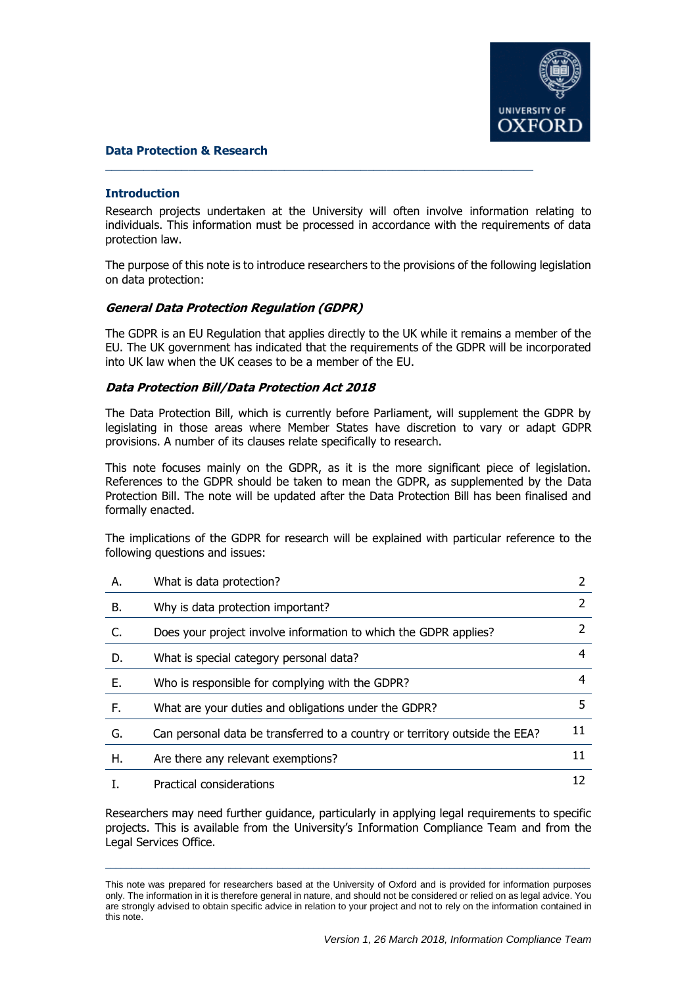

#### **Data Protection & Research**

#### **Introduction**

Research projects undertaken at the University will often involve information relating to individuals. This information must be processed in accordance with the requirements of data protection law.

 $\overline{\phantom{a}}$  , and the contribution of the contribution of the contribution of the contribution of the contribution of the contribution of the contribution of the contribution of the contribution of the contribution of the

The purpose of this note is to introduce researchers to the provisions of the following legislation on data protection:

#### **General Data Protection Regulation (GDPR)**

The GDPR is an EU Regulation that applies directly to the UK while it remains a member of the EU. The UK government has indicated that the requirements of the GDPR will be incorporated into UK law when the UK ceases to be a member of the EU.

#### **Data Protection Bill/Data Protection Act 2018**

The Data Protection Bill, which is currently before Parliament, will supplement the GDPR by legislating in those areas where Member States have discretion to vary or adapt GDPR provisions. A number of its clauses relate specifically to research.

This note focuses mainly on the GDPR, as it is the more significant piece of legislation. References to the GDPR should be taken to mean the GDPR, as supplemented by the Data Protection Bill. The note will be updated after the Data Protection Bill has been finalised and formally enacted.

The implications of the GDPR for research will be explained with particular reference to the following questions and issues:

| А. | What is data protection?                                                    |    |
|----|-----------------------------------------------------------------------------|----|
| В. | Why is data protection important?                                           |    |
| C. | Does your project involve information to which the GDPR applies?            |    |
| D. | What is special category personal data?                                     | 4  |
| Е. | Who is responsible for complying with the GDPR?                             | 4  |
| F. | What are your duties and obligations under the GDPR?                        | 5  |
| G. | Can personal data be transferred to a country or territory outside the EEA? | 11 |
| Η. | Are there any relevant exemptions?                                          | 11 |
|    | Practical considerations                                                    |    |

Researchers may need further guidance, particularly in applying legal requirements to specific projects. This is available from the University's Information Compliance Team and from the Legal Services Office.

 $\_$  ,  $\_$  ,  $\_$  ,  $\_$  ,  $\_$  ,  $\_$  ,  $\_$  ,  $\_$  ,  $\_$  ,  $\_$  ,  $\_$  ,  $\_$  ,  $\_$  ,  $\_$  ,  $\_$  ,  $\_$  ,  $\_$  ,  $\_$  ,  $\_$  ,  $\_$  ,  $\_$  ,  $\_$  ,  $\_$  ,  $\_$  ,  $\_$  ,  $\_$  ,  $\_$  ,  $\_$  ,  $\_$  ,  $\_$  ,  $\_$  ,  $\_$  ,  $\_$  ,  $\_$  ,  $\_$  ,  $\_$  ,  $\_$  ,

This note was prepared for researchers based at the University of Oxford and is provided for information purposes only. The information in it is therefore general in nature, and should not be considered or relied on as legal advice. You are strongly advised to obtain specific advice in relation to your project and not to rely on the information contained in this note.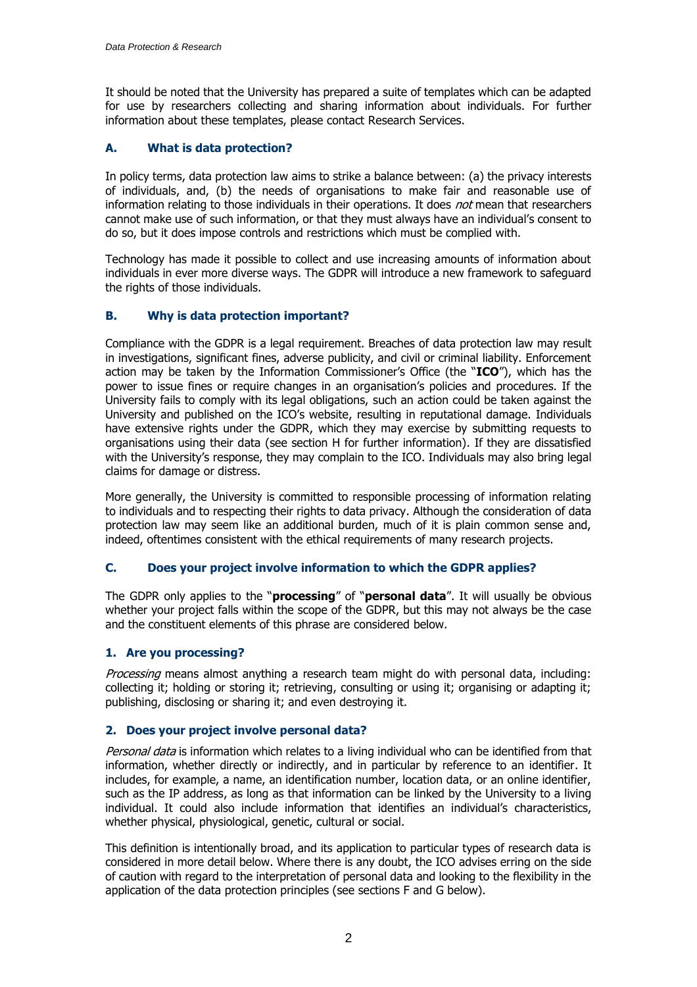It should be noted that the University has prepared a suite of templates which can be adapted for use by researchers collecting and sharing information about individuals. For further information about these templates, please contact Research Services.

# **A. What is data protection?**

In policy terms, data protection law aims to strike a balance between: (a) the privacy interests of individuals, and, (b) the needs of organisations to make fair and reasonable use of information relating to those individuals in their operations. It does not mean that researchers cannot make use of such information, or that they must always have an individual's consent to do so, but it does impose controls and restrictions which must be complied with.

Technology has made it possible to collect and use increasing amounts of information about individuals in ever more diverse ways. The GDPR will introduce a new framework to safeguard the rights of those individuals.

# **B. Why is data protection important?**

Compliance with the GDPR is a legal requirement. Breaches of data protection law may result in investigations, significant fines, adverse publicity, and civil or criminal liability. Enforcement action may be taken by the Information Commissioner's Office (the "**ICO**"), which has the power to issue fines or require changes in an organisation's policies and procedures. If the University fails to comply with its legal obligations, such an action could be taken against the University and published on the ICO's website, resulting in reputational damage. Individuals have extensive rights under the GDPR, which they may exercise by submitting requests to organisations using their data (see section H for further information). If they are dissatisfied with the University's response, they may complain to the ICO. Individuals may also bring legal claims for damage or distress.

More generally, the University is committed to responsible processing of information relating to individuals and to respecting their rights to data privacy. Although the consideration of data protection law may seem like an additional burden, much of it is plain common sense and, indeed, oftentimes consistent with the ethical requirements of many research projects.

# **C. Does your project involve information to which the GDPR applies?**

The GDPR only applies to the "**processing**" of "**personal data**". It will usually be obvious whether your project falls within the scope of the GDPR, but this may not always be the case and the constituent elements of this phrase are considered below.

# **1. Are you processing?**

Processing means almost anything a research team might do with personal data, including: collecting it; holding or storing it; retrieving, consulting or using it; organising or adapting it; publishing, disclosing or sharing it; and even destroying it.

# **2. Does your project involve personal data?**

Personal data is information which relates to a living individual who can be identified from that information, whether directly or indirectly, and in particular by reference to an identifier. It includes, for example, a name, an identification number, location data, or an online identifier, such as the IP address, as long as that information can be linked by the University to a living individual. It could also include information that identifies an individual's characteristics, whether physical, physiological, genetic, cultural or social.

This definition is intentionally broad, and its application to particular types of research data is considered in more detail below. Where there is any doubt, the ICO advises erring on the side of caution with regard to the interpretation of personal data and looking to the flexibility in the application of the data protection principles (see sections F and G below).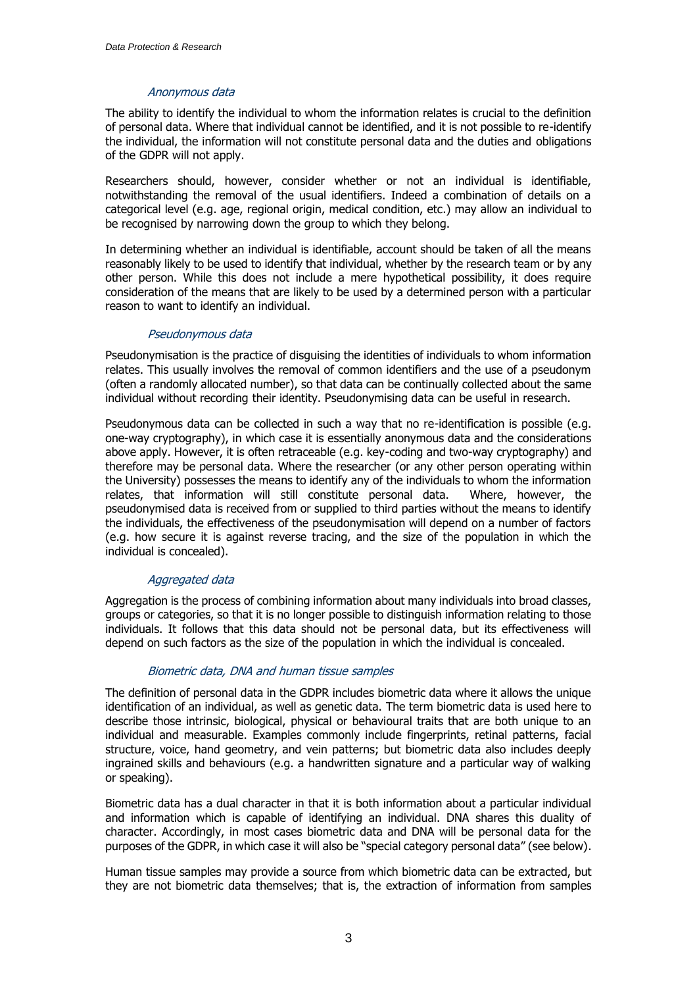### Anonymous data

The ability to identify the individual to whom the information relates is crucial to the definition of personal data. Where that individual cannot be identified, and it is not possible to re-identify the individual, the information will not constitute personal data and the duties and obligations of the GDPR will not apply.

Researchers should, however, consider whether or not an individual is identifiable, notwithstanding the removal of the usual identifiers. Indeed a combination of details on a categorical level (e.g. age, regional origin, medical condition, etc.) may allow an individual to be recognised by narrowing down the group to which they belong.

In determining whether an individual is identifiable, account should be taken of all the means reasonably likely to be used to identify that individual, whether by the research team or by any other person. While this does not include a mere hypothetical possibility, it does require consideration of the means that are likely to be used by a determined person with a particular reason to want to identify an individual.

#### Pseudonymous data

Pseudonymisation is the practice of disguising the identities of individuals to whom information relates. This usually involves the removal of common identifiers and the use of a pseudonym (often a randomly allocated number), so that data can be continually collected about the same individual without recording their identity. Pseudonymising data can be useful in research.

Pseudonymous data can be collected in such a way that no re-identification is possible (e.g. one-way cryptography), in which case it is essentially anonymous data and the considerations above apply. However, it is often retraceable (e.g. key-coding and two-way cryptography) and therefore may be personal data. Where the researcher (or any other person operating within the University) possesses the means to identify any of the individuals to whom the information relates, that information will still constitute personal data. Where, however, the pseudonymised data is received from or supplied to third parties without the means to identify the individuals, the effectiveness of the pseudonymisation will depend on a number of factors (e.g. how secure it is against reverse tracing, and the size of the population in which the individual is concealed).

### Aggregated data

Aggregation is the process of combining information about many individuals into broad classes, groups or categories, so that it is no longer possible to distinguish information relating to those individuals. It follows that this data should not be personal data, but its effectiveness will depend on such factors as the size of the population in which the individual is concealed.

### Biometric data, DNA and human tissue samples

The definition of personal data in the GDPR includes biometric data where it allows the unique identification of an individual, as well as genetic data. The term biometric data is used here to describe those intrinsic, biological, physical or behavioural traits that are both unique to an individual and measurable. Examples commonly include fingerprints, retinal patterns, facial structure, voice, hand geometry, and vein patterns; but biometric data also includes deeply ingrained skills and behaviours (e.g. a handwritten signature and a particular way of walking or speaking).

Biometric data has a dual character in that it is both information about a particular individual and information which is capable of identifying an individual. DNA shares this duality of character. Accordingly, in most cases biometric data and DNA will be personal data for the purposes of the GDPR, in which case it will also be "special category personal data" (see below).

Human tissue samples may provide a source from which biometric data can be extracted, but they are not biometric data themselves; that is, the extraction of information from samples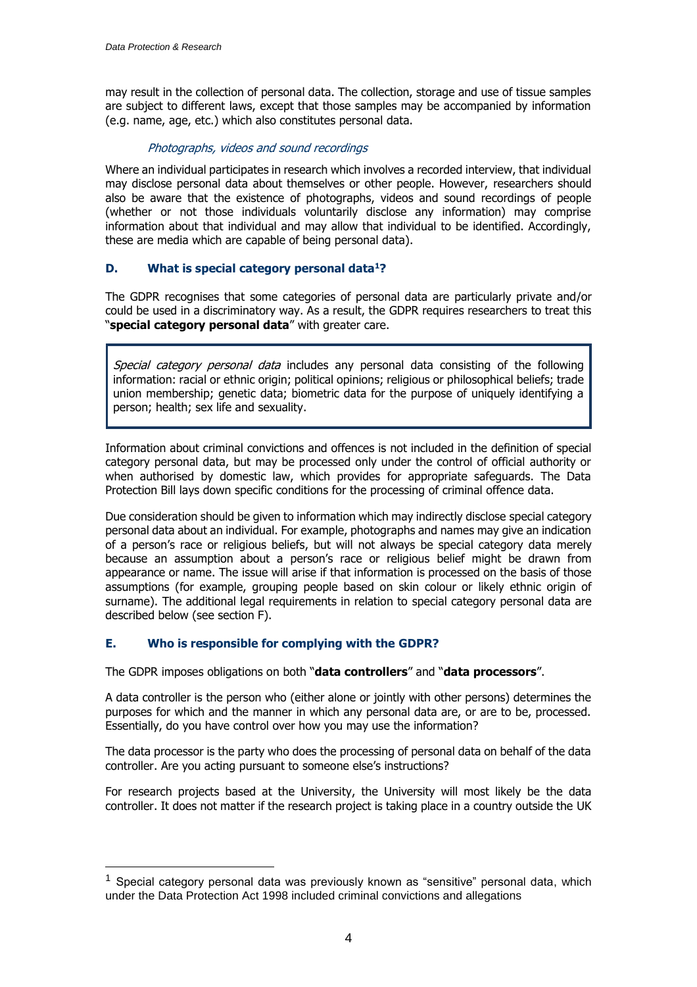may result in the collection of personal data. The collection, storage and use of tissue samples are subject to different laws, except that those samples may be accompanied by information (e.g. name, age, etc.) which also constitutes personal data.

# Photographs, videos and sound recordings

Where an individual participates in research which involves a recorded interview, that individual may disclose personal data about themselves or other people. However, researchers should also be aware that the existence of photographs, videos and sound recordings of people (whether or not those individuals voluntarily disclose any information) may comprise information about that individual and may allow that individual to be identified. Accordingly, these are media which are capable of being personal data).

# **D. What is special category personal data<sup>1</sup>?**

The GDPR recognises that some categories of personal data are particularly private and/or could be used in a discriminatory way. As a result, the GDPR requires researchers to treat this "**special category personal data**" with greater care.

Special category personal data includes any personal data consisting of the following information: racial or ethnic origin; political opinions; religious or philosophical beliefs; trade union membership; genetic data; biometric data for the purpose of uniquely identifying a person; health; sex life and sexuality.

Information about criminal convictions and offences is not included in the definition of special category personal data, but may be processed only under the control of official authority or when authorised by domestic law, which provides for appropriate safeguards. The Data Protection Bill lays down specific conditions for the processing of criminal offence data.

Due consideration should be given to information which may indirectly disclose special category personal data about an individual. For example, photographs and names may give an indication of a person's race or religious beliefs, but will not always be special category data merely because an assumption about a person's race or religious belief might be drawn from appearance or name. The issue will arise if that information is processed on the basis of those assumptions (for example, grouping people based on skin colour or likely ethnic origin of surname). The additional legal requirements in relation to special category personal data are described below (see section F).

# **E. Who is responsible for complying with the GDPR?**

The GDPR imposes obligations on both "**data controllers**" and "**data processors**".

A data controller is the person who (either alone or jointly with other persons) determines the purposes for which and the manner in which any personal data are, or are to be, processed. Essentially, do you have control over how you may use the information?

The data processor is the party who does the processing of personal data on behalf of the data controller. Are you acting pursuant to someone else's instructions?

For research projects based at the University, the University will most likely be the data controller. It does not matter if the research project is taking place in a country outside the UK

<sup>&</sup>lt;sup>1</sup> Special category personal data was previously known as "sensitive" personal data, which under the Data Protection Act 1998 included criminal convictions and allegations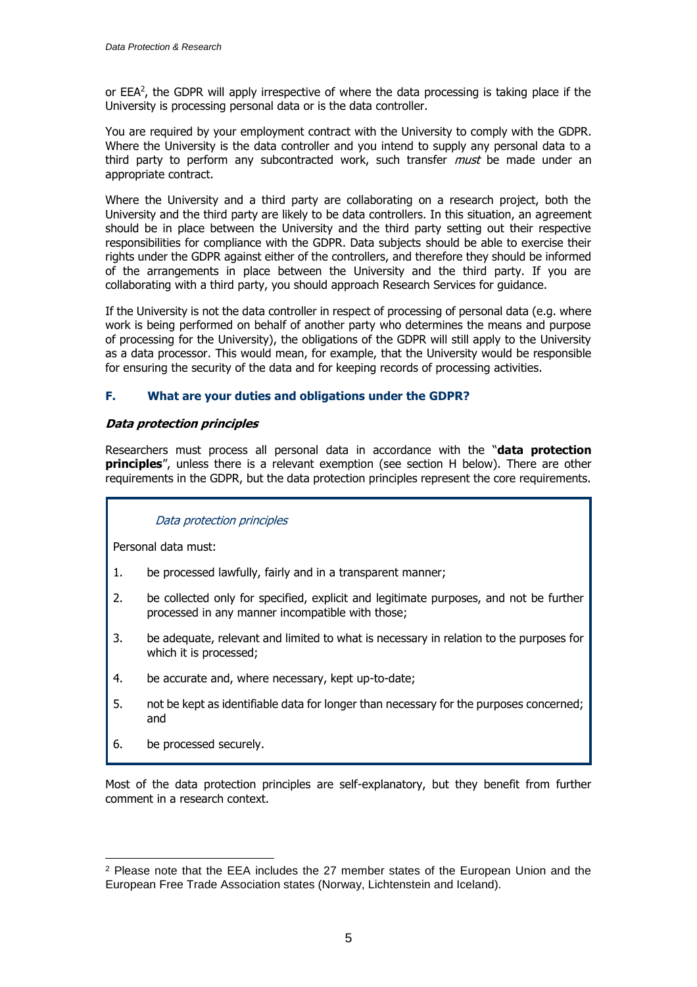or EEA<sup>2</sup>, the GDPR will apply irrespective of where the data processing is taking place if the University is processing personal data or is the data controller.

You are required by your employment contract with the University to comply with the GDPR. Where the University is the data controller and you intend to supply any personal data to a third party to perform any subcontracted work, such transfer *must* be made under an appropriate contract.

Where the University and a third party are collaborating on a research project, both the University and the third party are likely to be data controllers. In this situation, an agreement should be in place between the University and the third party setting out their respective responsibilities for compliance with the GDPR. Data subjects should be able to exercise their rights under the GDPR against either of the controllers, and therefore they should be informed of the arrangements in place between the University and the third party. If you are collaborating with a third party, you should approach Research Services for guidance.

If the University is not the data controller in respect of processing of personal data (e.g. where work is being performed on behalf of another party who determines the means and purpose of processing for the University), the obligations of the GDPR will still apply to the University as a data processor. This would mean, for example, that the University would be responsible for ensuring the security of the data and for keeping records of processing activities.

### **F. What are your duties and obligations under the GDPR?**

### **Data protection principles**

Researchers must process all personal data in accordance with the "**data protection principles**", unless there is a relevant exemption (see section H below). There are other requirements in the GDPR, but the data protection principles represent the core requirements.

### Data protection principles

Personal data must:

- 1. be processed lawfully, fairly and in a transparent manner;
- 2. be collected only for specified, explicit and legitimate purposes, and not be further processed in any manner incompatible with those;
- 3. be adequate, relevant and limited to what is necessary in relation to the purposes for which it is processed;
- 4. be accurate and, where necessary, kept up-to-date;
- 5. not be kept as identifiable data for longer than necessary for the purposes concerned; and
- 6. be processed securely.

Most of the data protection principles are self-explanatory, but they benefit from further comment in a research context.

 $\overline{a}$ <sup>2</sup> Please note that the EEA includes the 27 member states of the European Union and the European Free Trade Association states (Norway, Lichtenstein and Iceland).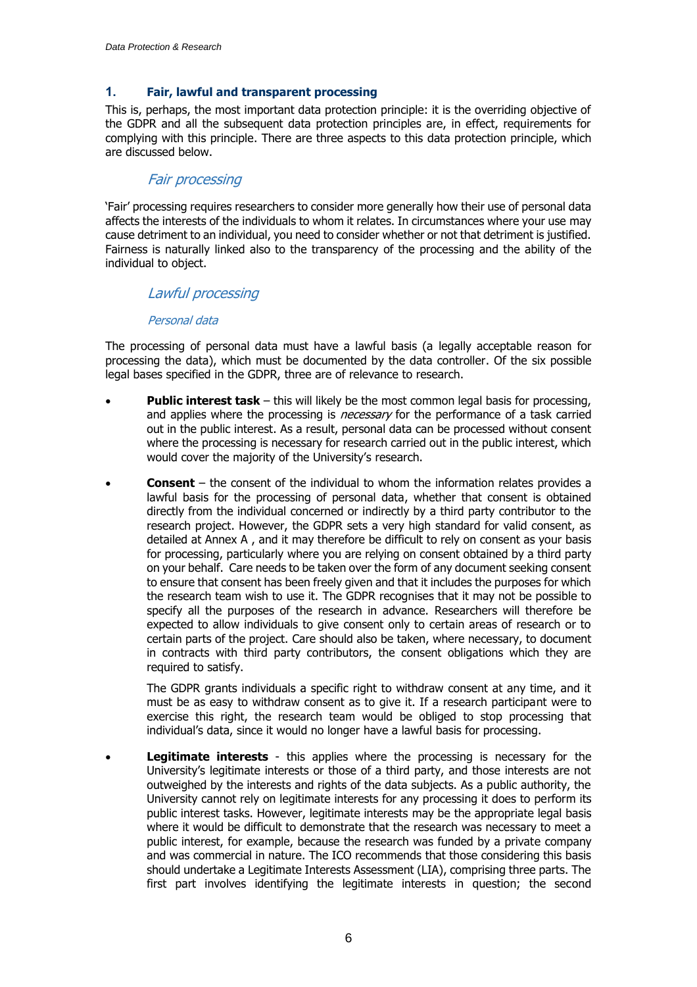### **1. Fair, lawful and transparent processing**

This is, perhaps, the most important data protection principle: it is the overriding objective of the GDPR and all the subsequent data protection principles are, in effect, requirements for complying with this principle. There are three aspects to this data protection principle, which are discussed below.

# Fair processing

'Fair' processing requires researchers to consider more generally how their use of personal data affects the interests of the individuals to whom it relates. In circumstances where your use may cause detriment to an individual, you need to consider whether or not that detriment is justified. Fairness is naturally linked also to the transparency of the processing and the ability of the individual to object.

# Lawful processing

#### Personal data

The processing of personal data must have a lawful basis (a legally acceptable reason for processing the data), which must be documented by the data controller. Of the six possible legal bases specified in the GDPR, three are of relevance to research.

- **Public interest task** this will likely be the most common legal basis for processing, and applies where the processing is *necessary* for the performance of a task carried out in the public interest. As a result, personal data can be processed without consent where the processing is necessary for research carried out in the public interest, which would cover the majority of the University's research.
- **Consent** the consent of the individual to whom the information relates provides a lawful basis for the processing of personal data, whether that consent is obtained directly from the individual concerned or indirectly by a third party contributor to the research project. However, the GDPR sets a very high standard for valid consent, as detailed at Annex A , and it may therefore be difficult to rely on consent as your basis for processing, particularly where you are relying on consent obtained by a third party on your behalf. Care needs to be taken over the form of any document seeking consent to ensure that consent has been freely given and that it includes the purposes for which the research team wish to use it. The GDPR recognises that it may not be possible to specify all the purposes of the research in advance. Researchers will therefore be expected to allow individuals to give consent only to certain areas of research or to certain parts of the project. Care should also be taken, where necessary, to document in contracts with third party contributors, the consent obligations which they are required to satisfy.

The GDPR grants individuals a specific right to withdraw consent at any time, and it must be as easy to withdraw consent as to give it. If a research participant were to exercise this right, the research team would be obliged to stop processing that individual's data, since it would no longer have a lawful basis for processing.

 **Legitimate interests** - this applies where the processing is necessary for the University's legitimate interests or those of a third party, and those interests are not outweighed by the interests and rights of the data subjects. As a public authority, the University cannot rely on legitimate interests for any processing it does to perform its public interest tasks. However, legitimate interests may be the appropriate legal basis where it would be difficult to demonstrate that the research was necessary to meet a public interest, for example, because the research was funded by a private company and was commercial in nature. The ICO recommends that those considering this basis should undertake a Legitimate Interests Assessment (LIA), comprising three parts. The first part involves identifying the legitimate interests in question; the second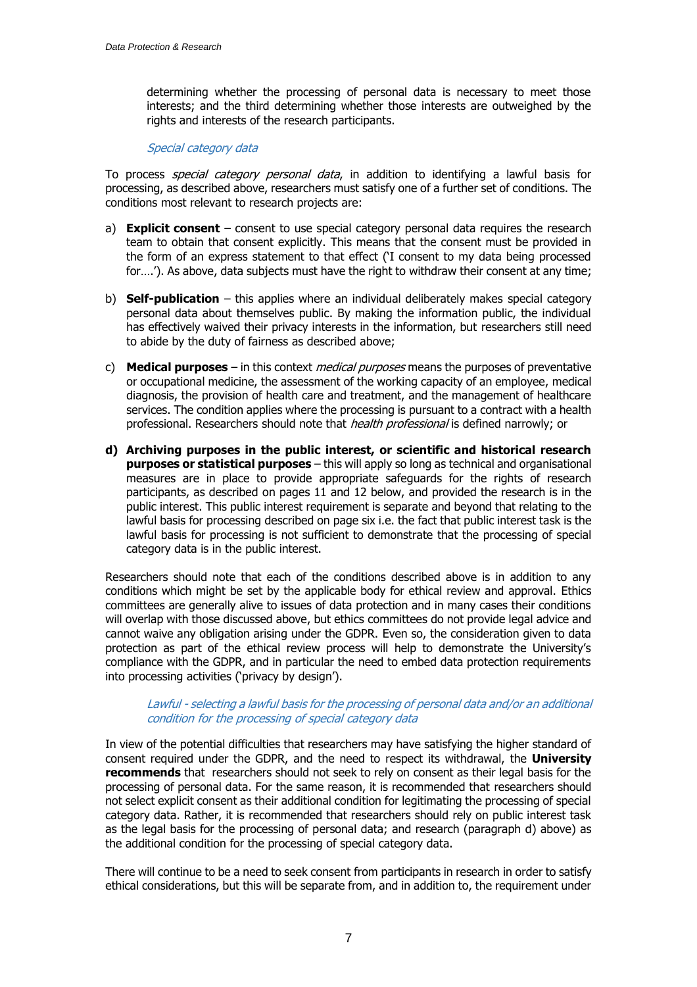determining whether the processing of personal data is necessary to meet those interests; and the third determining whether those interests are outweighed by the rights and interests of the research participants.

#### Special category data

To process *special category personal data*, in addition to identifying a lawful basis for processing, as described above, researchers must satisfy one of a further set of conditions. The conditions most relevant to research projects are:

- a) **Explicit consent** consent to use special category personal data requires the research team to obtain that consent explicitly. This means that the consent must be provided in the form of an express statement to that effect ('I consent to my data being processed for....'). As above, data subjects must have the right to withdraw their consent at any time;
- b) **Self-publication** this applies where an individual deliberately makes special category personal data about themselves public. By making the information public, the individual has effectively waived their privacy interests in the information, but researchers still need to abide by the duty of fairness as described above;
- c) **Medical purposes** in this context medical purposes means the purposes of preventative or occupational medicine, the assessment of the working capacity of an employee, medical diagnosis, the provision of health care and treatment, and the management of healthcare services. The condition applies where the processing is pursuant to a contract with a health professional. Researchers should note that *health professional* is defined narrowly; or
- **d) Archiving purposes in the public interest, or scientific and historical research purposes or statistical purposes** – this will apply so long as technical and organisational measures are in place to provide appropriate safeguards for the rights of research participants, as described on pages 11 and 12 below, and provided the research is in the public interest. This public interest requirement is separate and beyond that relating to the lawful basis for processing described on page six i.e. the fact that public interest task is the lawful basis for processing is not sufficient to demonstrate that the processing of special category data is in the public interest.

Researchers should note that each of the conditions described above is in addition to any conditions which might be set by the applicable body for ethical review and approval. Ethics committees are generally alive to issues of data protection and in many cases their conditions will overlap with those discussed above, but ethics committees do not provide legal advice and cannot waive any obligation arising under the GDPR. Even so, the consideration given to data protection as part of the ethical review process will help to demonstrate the University's compliance with the GDPR, and in particular the need to embed data protection requirements into processing activities ('privacy by design').

#### Lawful - selecting a lawful basis for the processing of personal data and/or an additional condition for the processing of special category data

In view of the potential difficulties that researchers may have satisfying the higher standard of consent required under the GDPR, and the need to respect its withdrawal, the **University recommends** that researchers should not seek to rely on consent as their legal basis for the processing of personal data. For the same reason, it is recommended that researchers should not select explicit consent as their additional condition for legitimating the processing of special category data. Rather, it is recommended that researchers should rely on public interest task as the legal basis for the processing of personal data; and research (paragraph d) above) as the additional condition for the processing of special category data.

There will continue to be a need to seek consent from participants in research in order to satisfy ethical considerations, but this will be separate from, and in addition to, the requirement under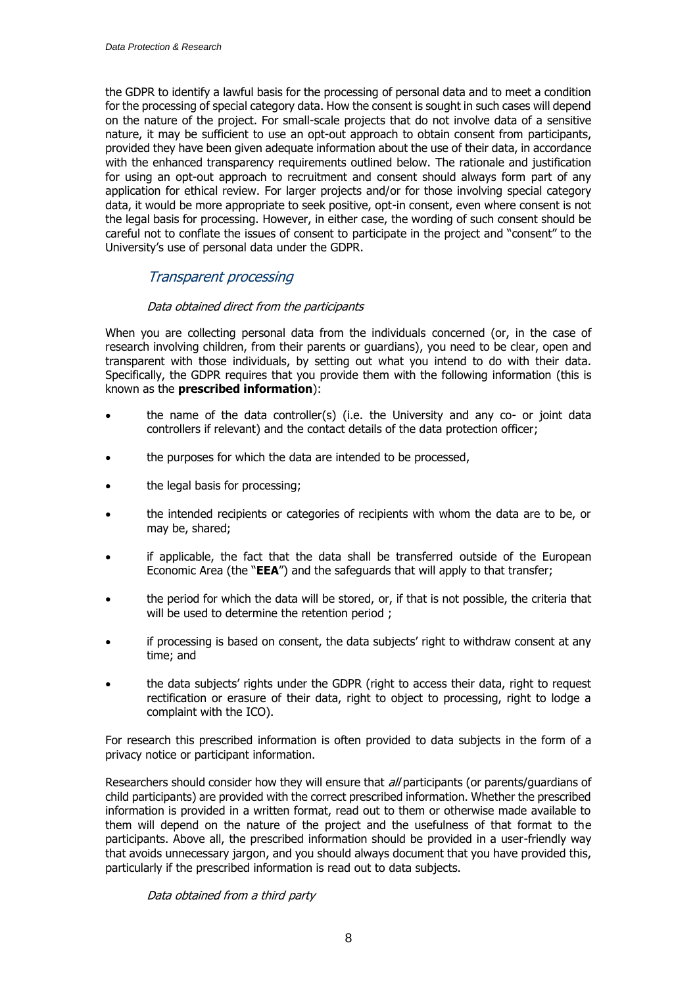the GDPR to identify a lawful basis for the processing of personal data and to meet a condition for the processing of special category data. How the consent is sought in such cases will depend on the nature of the project. For small-scale projects that do not involve data of a sensitive nature, it may be sufficient to use an opt-out approach to obtain consent from participants, provided they have been given adequate information about the use of their data, in accordance with the enhanced transparency requirements outlined below. The rationale and justification for using an opt-out approach to recruitment and consent should always form part of any application for ethical review. For larger projects and/or for those involving special category data, it would be more appropriate to seek positive, opt-in consent, even where consent is not the legal basis for processing. However, in either case, the wording of such consent should be careful not to conflate the issues of consent to participate in the project and "consent" to the University's use of personal data under the GDPR.

# Transparent processing

# Data obtained direct from the participants

When you are collecting personal data from the individuals concerned (or, in the case of research involving children, from their parents or guardians), you need to be clear, open and transparent with those individuals, by setting out what you intend to do with their data. Specifically, the GDPR requires that you provide them with the following information (this is known as the **prescribed information**):

- the name of the data controller(s) (i.e. the University and any co- or joint data controllers if relevant) and the contact details of the data protection officer;
- the purposes for which the data are intended to be processed,
- the legal basis for processing;
- the intended recipients or categories of recipients with whom the data are to be, or may be, shared;
- if applicable, the fact that the data shall be transferred outside of the European Economic Area (the "**EEA**") and the safeguards that will apply to that transfer;
- the period for which the data will be stored, or, if that is not possible, the criteria that will be used to determine the retention period;
- if processing is based on consent, the data subjects' right to withdraw consent at any time; and
- the data subjects' rights under the GDPR (right to access their data, right to request rectification or erasure of their data, right to object to processing, right to lodge a complaint with the ICO).

For research this prescribed information is often provided to data subjects in the form of a privacy notice or participant information.

Researchers should consider how they will ensure that all participants (or parents/guardians of child participants) are provided with the correct prescribed information. Whether the prescribed information is provided in a written format, read out to them or otherwise made available to them will depend on the nature of the project and the usefulness of that format to the participants. Above all, the prescribed information should be provided in a user-friendly way that avoids unnecessary jargon, and you should always document that you have provided this, particularly if the prescribed information is read out to data subjects.

Data obtained from a third party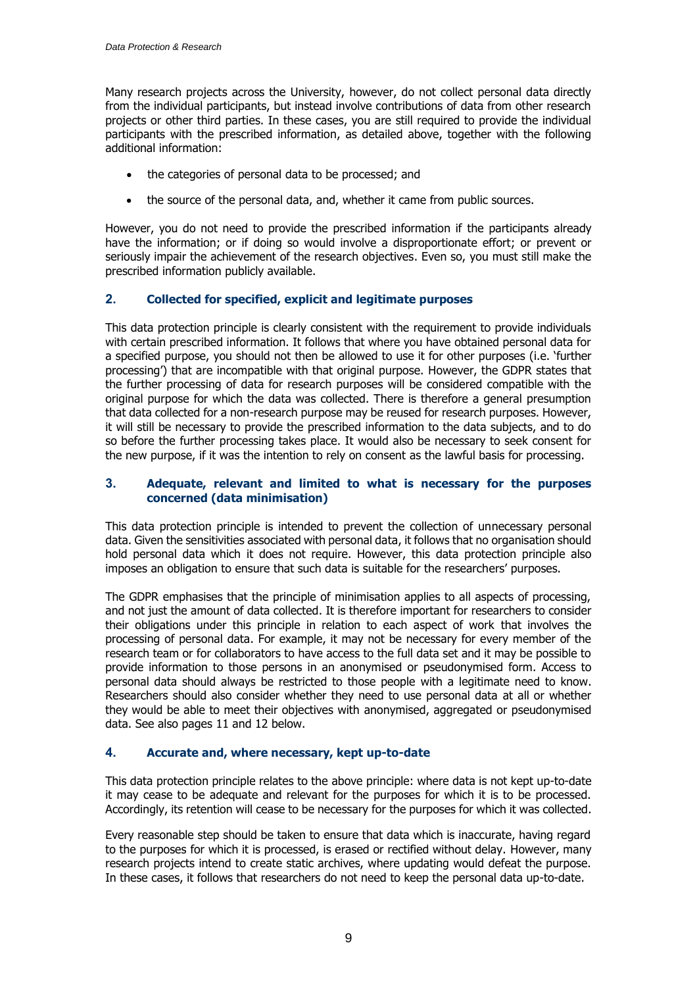Many research projects across the University, however, do not collect personal data directly from the individual participants, but instead involve contributions of data from other research projects or other third parties. In these cases, you are still required to provide the individual participants with the prescribed information, as detailed above, together with the following additional information:

- the categories of personal data to be processed; and
- the source of the personal data, and, whether it came from public sources.

However, you do not need to provide the prescribed information if the participants already have the information; or if doing so would involve a disproportionate effort; or prevent or seriously impair the achievement of the research objectives. Even so, you must still make the prescribed information publicly available.

### **2. Collected for specified, explicit and legitimate purposes**

This data protection principle is clearly consistent with the requirement to provide individuals with certain prescribed information. It follows that where you have obtained personal data for a specified purpose, you should not then be allowed to use it for other purposes (i.e. 'further processing') that are incompatible with that original purpose. However, the GDPR states that the further processing of data for research purposes will be considered compatible with the original purpose for which the data was collected. There is therefore a general presumption that data collected for a non-research purpose may be reused for research purposes. However, it will still be necessary to provide the prescribed information to the data subjects, and to do so before the further processing takes place. It would also be necessary to seek consent for the new purpose, if it was the intention to rely on consent as the lawful basis for processing.

### **3. Adequate, relevant and limited to what is necessary for the purposes concerned (data minimisation)**

This data protection principle is intended to prevent the collection of unnecessary personal data. Given the sensitivities associated with personal data, it follows that no organisation should hold personal data which it does not require. However, this data protection principle also imposes an obligation to ensure that such data is suitable for the researchers' purposes.

The GDPR emphasises that the principle of minimisation applies to all aspects of processing, and not just the amount of data collected. It is therefore important for researchers to consider their obligations under this principle in relation to each aspect of work that involves the processing of personal data. For example, it may not be necessary for every member of the research team or for collaborators to have access to the full data set and it may be possible to provide information to those persons in an anonymised or pseudonymised form. Access to personal data should always be restricted to those people with a legitimate need to know. Researchers should also consider whether they need to use personal data at all or whether they would be able to meet their objectives with anonymised, aggregated or pseudonymised data. See also pages 11 and 12 below.

### **4. Accurate and, where necessary, kept up-to-date**

This data protection principle relates to the above principle: where data is not kept up-to-date it may cease to be adequate and relevant for the purposes for which it is to be processed. Accordingly, its retention will cease to be necessary for the purposes for which it was collected.

Every reasonable step should be taken to ensure that data which is inaccurate, having regard to the purposes for which it is processed, is erased or rectified without delay. However, many research projects intend to create static archives, where updating would defeat the purpose. In these cases, it follows that researchers do not need to keep the personal data up-to-date.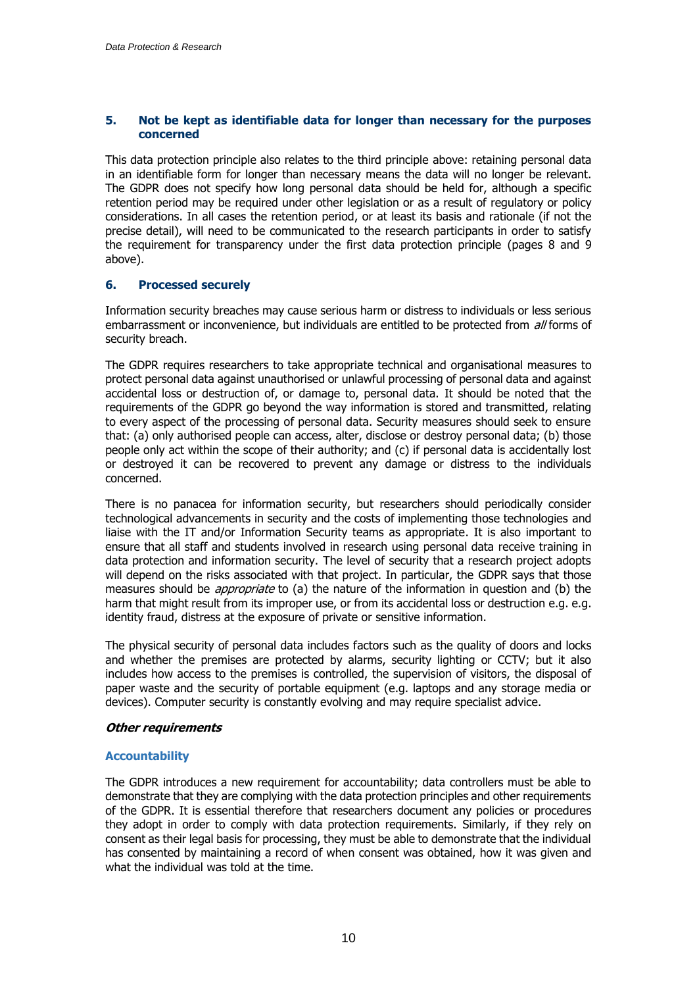### **5. Not be kept as identifiable data for longer than necessary for the purposes concerned**

This data protection principle also relates to the third principle above: retaining personal data in an identifiable form for longer than necessary means the data will no longer be relevant. The GDPR does not specify how long personal data should be held for, although a specific retention period may be required under other legislation or as a result of regulatory or policy considerations. In all cases the retention period, or at least its basis and rationale (if not the precise detail), will need to be communicated to the research participants in order to satisfy the requirement for transparency under the first data protection principle (pages 8 and 9 above).

### **6. Processed securely**

Information security breaches may cause serious harm or distress to individuals or less serious embarrassment or inconvenience, but individuals are entitled to be protected from all forms of security breach.

The GDPR requires researchers to take appropriate technical and organisational measures to protect personal data against unauthorised or unlawful processing of personal data and against accidental loss or destruction of, or damage to, personal data. It should be noted that the requirements of the GDPR go beyond the way information is stored and transmitted, relating to every aspect of the processing of personal data. Security measures should seek to ensure that: (a) only authorised people can access, alter, disclose or destroy personal data; (b) those people only act within the scope of their authority; and (c) if personal data is accidentally lost or destroyed it can be recovered to prevent any damage or distress to the individuals concerned.

There is no panacea for information security, but researchers should periodically consider technological advancements in security and the costs of implementing those technologies and liaise with the IT and/or Information Security teams as appropriate. It is also important to ensure that all staff and students involved in research using personal data receive training in data protection and information security. The level of security that a research project adopts will depend on the risks associated with that project. In particular, the GDPR says that those measures should be *appropriate* to (a) the nature of the information in question and (b) the harm that might result from its improper use, or from its accidental loss or destruction e.g. e.g. identity fraud, distress at the exposure of private or sensitive information.

The physical security of personal data includes factors such as the quality of doors and locks and whether the premises are protected by alarms, security lighting or CCTV; but it also includes how access to the premises is controlled, the supervision of visitors, the disposal of paper waste and the security of portable equipment (e.g. laptops and any storage media or devices). Computer security is constantly evolving and may require specialist advice.

### **Other requirements**

### **Accountability**

The GDPR introduces a new requirement for accountability; data controllers must be able to demonstrate that they are complying with the data protection principles and other requirements of the GDPR. It is essential therefore that researchers document any policies or procedures they adopt in order to comply with data protection requirements. Similarly, if they rely on consent as their legal basis for processing, they must be able to demonstrate that the individual has consented by maintaining a record of when consent was obtained, how it was given and what the individual was told at the time.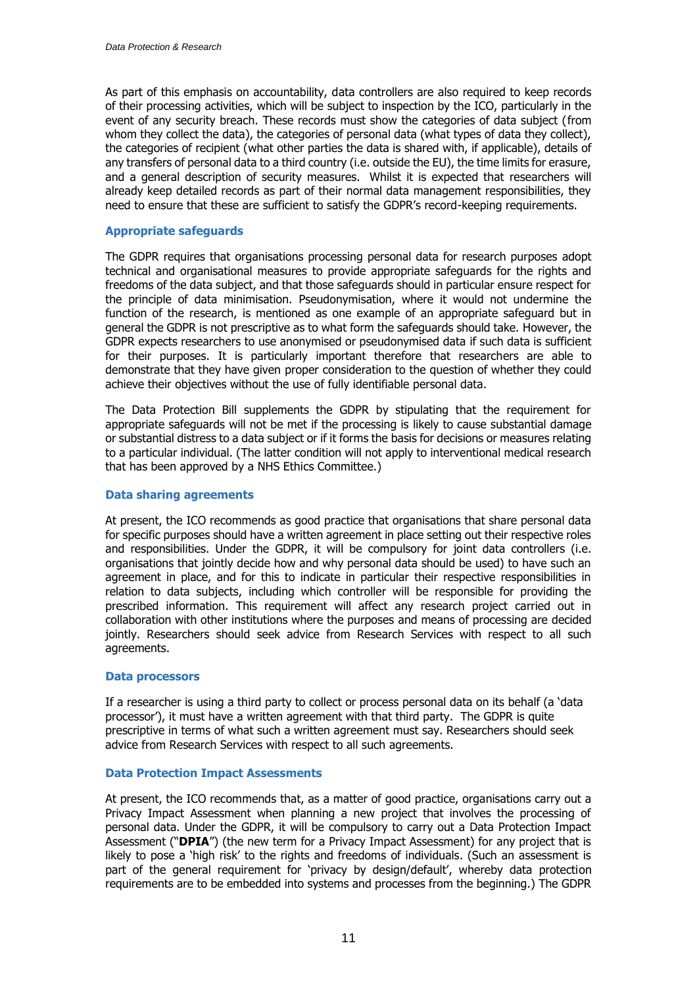As part of this emphasis on accountability, data controllers are also required to keep records of their processing activities, which will be subject to inspection by the ICO, particularly in the event of any security breach. These records must show the categories of data subject (from whom they collect the data), the categories of personal data (what types of data they collect), the categories of recipient (what other parties the data is shared with, if applicable), details of any transfers of personal data to a third country (i.e. outside the EU), the time limits for erasure, and a general description of security measures. Whilst it is expected that researchers will already keep detailed records as part of their normal data management responsibilities, they need to ensure that these are sufficient to satisfy the GDPR's record-keeping requirements.

#### **Appropriate safeguards**

The GDPR requires that organisations processing personal data for research purposes adopt technical and organisational measures to provide appropriate safeguards for the rights and freedoms of the data subject, and that those safeguards should in particular ensure respect for the principle of data minimisation. Pseudonymisation, where it would not undermine the function of the research, is mentioned as one example of an appropriate safeguard but in general the GDPR is not prescriptive as to what form the safeguards should take. However, the GDPR expects researchers to use anonymised or pseudonymised data if such data is sufficient for their purposes. It is particularly important therefore that researchers are able to demonstrate that they have given proper consideration to the question of whether they could achieve their objectives without the use of fully identifiable personal data.

The Data Protection Bill supplements the GDPR by stipulating that the requirement for appropriate safeguards will not be met if the processing is likely to cause substantial damage or substantial distress to a data subject or if it forms the basis for decisions or measures relating to a particular individual. (The latter condition will not apply to interventional medical research that has been approved by a NHS Ethics Committee.)

#### **Data sharing agreements**

At present, the ICO recommends as good practice that organisations that share personal data for specific purposes should have a written agreement in place setting out their respective roles and responsibilities. Under the GDPR, it will be compulsory for joint data controllers (i.e. organisations that jointly decide how and why personal data should be used) to have such an agreement in place, and for this to indicate in particular their respective responsibilities in relation to data subjects, including which controller will be responsible for providing the prescribed information. This requirement will affect any research project carried out in collaboration with other institutions where the purposes and means of processing are decided jointly. Researchers should seek advice from Research Services with respect to all such agreements.

#### **Data processors**

If a researcher is using a third party to collect or process personal data on its behalf (a 'data processor'), it must have a written agreement with that third party. The GDPR is quite prescriptive in terms of what such a written agreement must say. Researchers should seek advice from Research Services with respect to all such agreements.

#### **Data Protection Impact Assessments**

At present, the ICO recommends that, as a matter of good practice, organisations carry out a Privacy Impact Assessment when planning a new project that involves the processing of personal data. Under the GDPR, it will be compulsory to carry out a Data Protection Impact Assessment ("**DPIA**") (the new term for a Privacy Impact Assessment) for any project that is likely to pose a 'high risk' to the rights and freedoms of individuals. (Such an assessment is part of the general requirement for 'privacy by design/default', whereby data protection requirements are to be embedded into systems and processes from the beginning.) The GDPR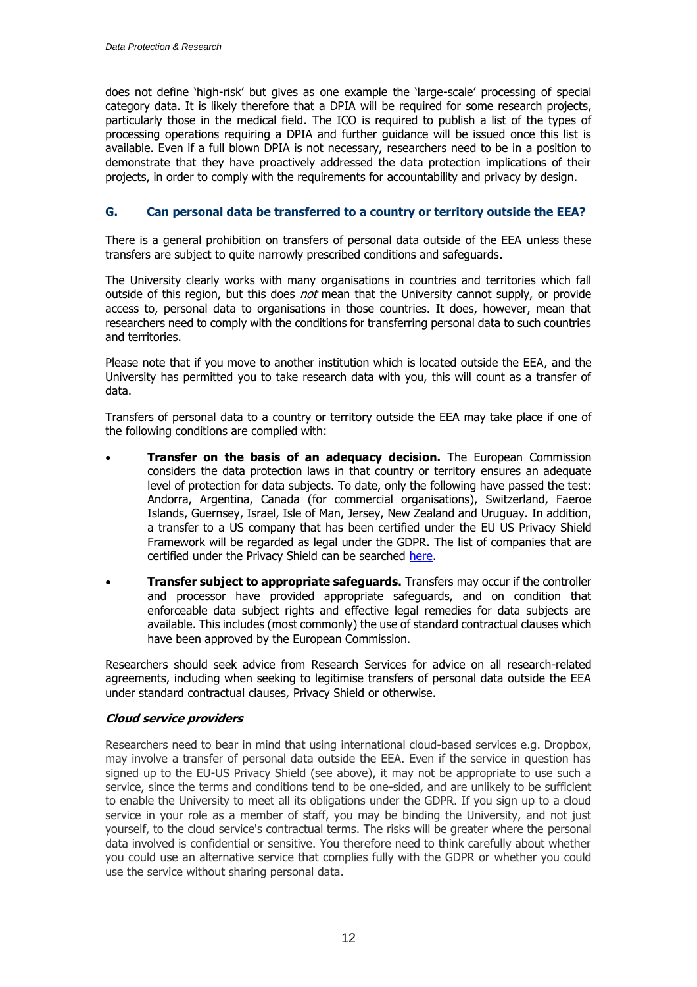does not define 'high-risk' but gives as one example the 'large-scale' processing of special category data. It is likely therefore that a DPIA will be required for some research projects, particularly those in the medical field. The ICO is required to publish a list of the types of processing operations requiring a DPIA and further guidance will be issued once this list is available. Even if a full blown DPIA is not necessary, researchers need to be in a position to demonstrate that they have proactively addressed the data protection implications of their projects, in order to comply with the requirements for accountability and privacy by design.

# **G. Can personal data be transferred to a country or territory outside the EEA?**

There is a general prohibition on transfers of personal data outside of the EEA unless these transfers are subject to quite narrowly prescribed conditions and safeguards.

The University clearly works with many organisations in countries and territories which fall outside of this region, but this does *not* mean that the University cannot supply, or provide access to, personal data to organisations in those countries. It does, however, mean that researchers need to comply with the conditions for transferring personal data to such countries and territories.

Please note that if you move to another institution which is located outside the EEA, and the University has permitted you to take research data with you, this will count as a transfer of data.

Transfers of personal data to a country or territory outside the EEA may take place if one of the following conditions are complied with:

- **Transfer on the basis of an adequacy decision.** The European Commission considers the data protection laws in that country or territory ensures an adequate level of protection for data subjects. To date, only the following have passed the test: Andorra, Argentina, Canada (for commercial organisations), Switzerland, Faeroe Islands, Guernsey, Israel, Isle of Man, Jersey, New Zealand and Uruguay. In addition, a transfer to a US company that has been certified under the EU US Privacy Shield Framework will be regarded as legal under the GDPR. The list of companies that are certified under the Privacy Shield can be searched [here.](https://www.privacyshield.gov/list)
- **Transfer subject to appropriate safeguards.** Transfers may occur if the controller and processor have provided appropriate safeguards, and on condition that enforceable data subject rights and effective legal remedies for data subjects are available. This includes (most commonly) the use of standard contractual clauses which have been approved by the European Commission.

Researchers should seek advice from Research Services for advice on all research-related agreements, including when seeking to legitimise transfers of personal data outside the EEA under standard contractual clauses, Privacy Shield or otherwise.

### **Cloud service providers**

Researchers need to bear in mind that using international cloud-based services e.g. Dropbox, may involve a transfer of personal data outside the EEA. Even if the service in question has signed up to the EU-US Privacy Shield (see above), it may not be appropriate to use such a service, since the terms and conditions tend to be one-sided, and are unlikely to be sufficient to enable the University to meet all its obligations under the GDPR. If you sign up to a cloud service in your role as a member of staff, you may be binding the University, and not just yourself, to the cloud service's contractual terms. The risks will be greater where the personal data involved is confidential or sensitive. You therefore need to think carefully about whether you could use an alternative service that complies fully with the GDPR or whether you could use the service without sharing personal data.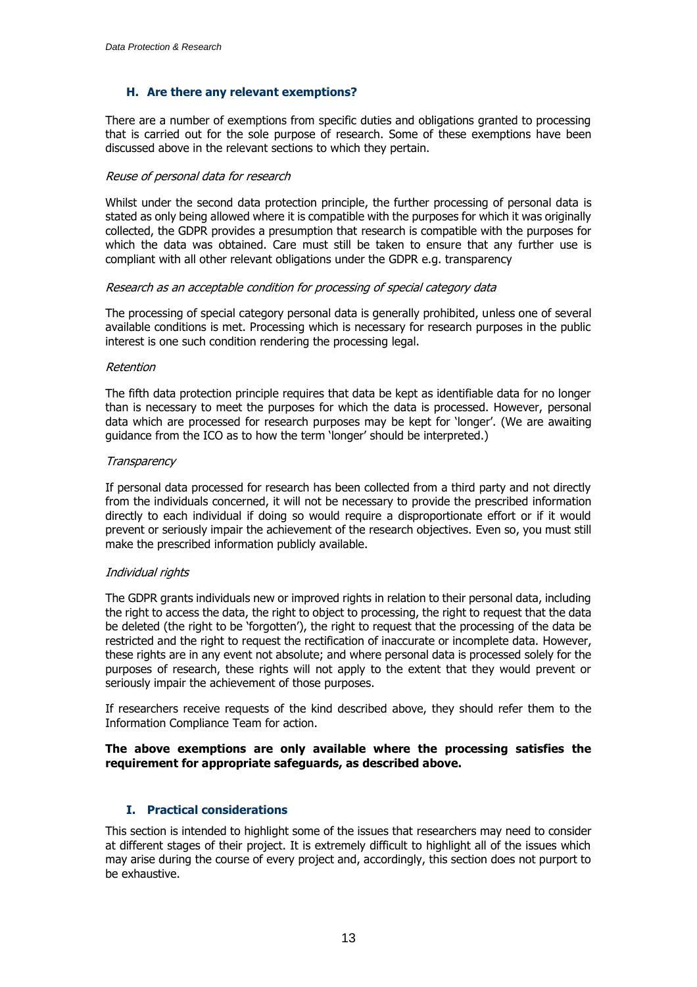### **H. Are there any relevant exemptions?**

There are a number of exemptions from specific duties and obligations granted to processing that is carried out for the sole purpose of research. Some of these exemptions have been discussed above in the relevant sections to which they pertain.

#### Reuse of personal data for research

Whilst under the second data protection principle, the further processing of personal data is stated as only being allowed where it is compatible with the purposes for which it was originally collected, the GDPR provides a presumption that research is compatible with the purposes for which the data was obtained. Care must still be taken to ensure that any further use is compliant with all other relevant obligations under the GDPR e.g. transparency

#### Research as an acceptable condition for processing of special category data

The processing of special category personal data is generally prohibited, unless one of several available conditions is met. Processing which is necessary for research purposes in the public interest is one such condition rendering the processing legal.

#### Retention

The fifth data protection principle requires that data be kept as identifiable data for no longer than is necessary to meet the purposes for which the data is processed. However, personal data which are processed for research purposes may be kept for 'longer'. (We are awaiting guidance from the ICO as to how the term 'longer' should be interpreted.)

#### **Transparency**

If personal data processed for research has been collected from a third party and not directly from the individuals concerned, it will not be necessary to provide the prescribed information directly to each individual if doing so would require a disproportionate effort or if it would prevent or seriously impair the achievement of the research objectives. Even so, you must still make the prescribed information publicly available.

### Individual rights

The GDPR grants individuals new or improved rights in relation to their personal data, including the right to access the data, the right to object to processing, the right to request that the data be deleted (the right to be 'forgotten'), the right to request that the processing of the data be restricted and the right to request the rectification of inaccurate or incomplete data. However, these rights are in any event not absolute; and where personal data is processed solely for the purposes of research, these rights will not apply to the extent that they would prevent or seriously impair the achievement of those purposes.

If researchers receive requests of the kind described above, they should refer them to the Information Compliance Team for action.

#### **The above exemptions are only available where the processing satisfies the requirement for appropriate safeguards, as described above.**

### **I. Practical considerations**

This section is intended to highlight some of the issues that researchers may need to consider at different stages of their project. It is extremely difficult to highlight all of the issues which may arise during the course of every project and, accordingly, this section does not purport to be exhaustive.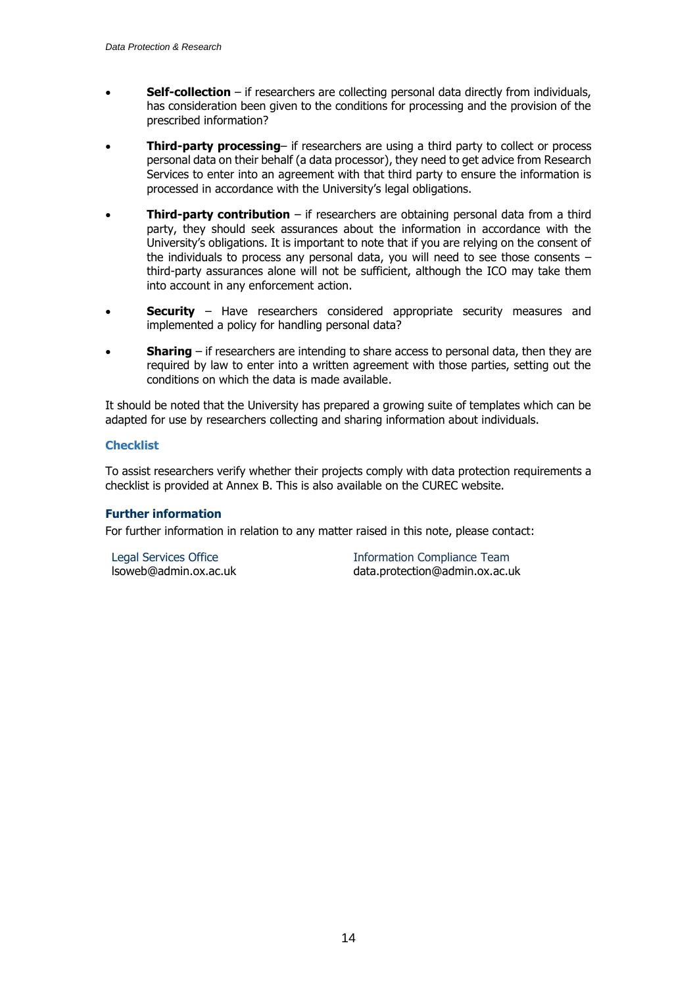- **Self-collection** if researchers are collecting personal data directly from individuals, has consideration been given to the conditions for processing and the provision of the prescribed information?
- **Third-party processing** if researchers are using a third party to collect or process personal data on their behalf (a data processor), they need to get advice from Research Services to enter into an agreement with that third party to ensure the information is processed in accordance with the University's legal obligations.
- **Third-party contribution** if researchers are obtaining personal data from a third party, they should seek assurances about the information in accordance with the University's obligations. It is important to note that if you are relying on the consent of the individuals to process any personal data, you will need to see those consents – third-party assurances alone will not be sufficient, although the ICO may take them into account in any enforcement action.
- **Security** Have researchers considered appropriate security measures and implemented a policy for handling personal data?
- **Sharing** if researchers are intending to share access to personal data, then they are required by law to enter into a written agreement with those parties, setting out the conditions on which the data is made available.

It should be noted that the University has prepared a growing suite of templates which can be adapted for use by researchers collecting and sharing information about individuals.

### **Checklist**

To assist researchers verify whether their projects comply with data protection requirements a checklist is provided at Annex B. This is also available on the CUREC website.

#### **Further information**

For further information in relation to any matter raised in this note, please contact:

Legal Services Office lsoweb@admin.ox.ac.uk

Information Compliance Team data.protection@admin.ox.ac.uk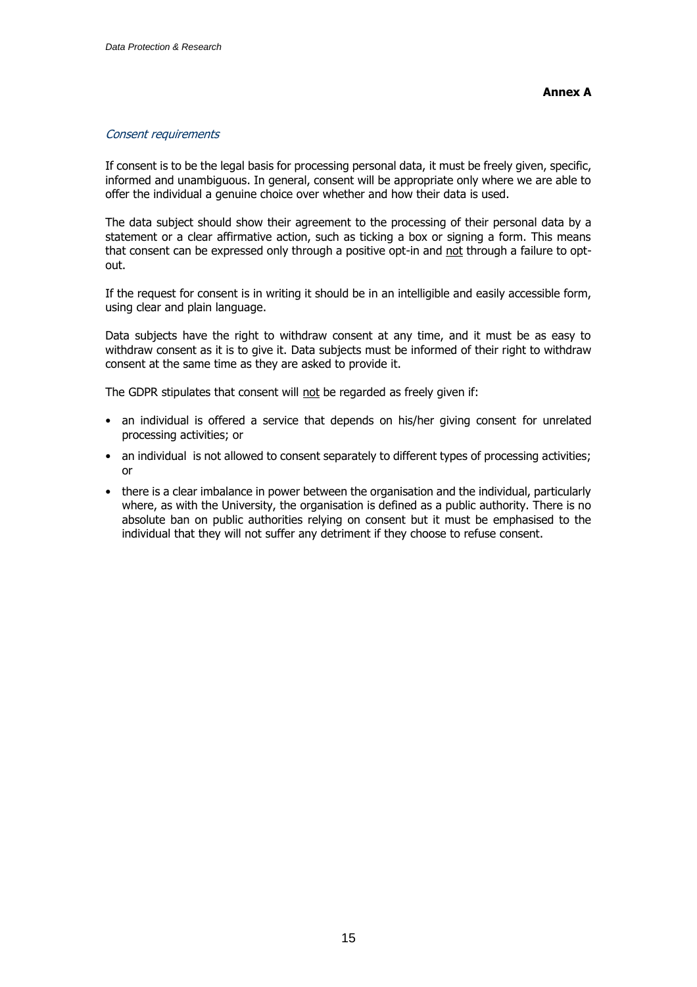#### Consent requirements

If consent is to be the legal basis for processing personal data, it must be freely given, specific, informed and unambiguous. In general, consent will be appropriate only where we are able to offer the individual a genuine choice over whether and how their data is used.

The data subject should show their agreement to the processing of their personal data by a statement or a clear affirmative action, such as ticking a box or signing a form. This means that consent can be expressed only through a positive opt-in and not through a failure to optout.

If the request for consent is in writing it should be in an intelligible and easily accessible form, using clear and plain language.

Data subjects have the right to withdraw consent at any time, and it must be as easy to withdraw consent as it is to give it. Data subjects must be informed of their right to withdraw consent at the same time as they are asked to provide it.

The GDPR stipulates that consent will not be regarded as freely given if:

- an individual is offered a service that depends on his/her giving consent for unrelated processing activities; or
- an individual is not allowed to consent separately to different types of processing activities; or
- there is a clear imbalance in power between the organisation and the individual, particularly where, as with the University, the organisation is defined as a public authority. There is no absolute ban on public authorities relying on consent but it must be emphasised to the individual that they will not suffer any detriment if they choose to refuse consent.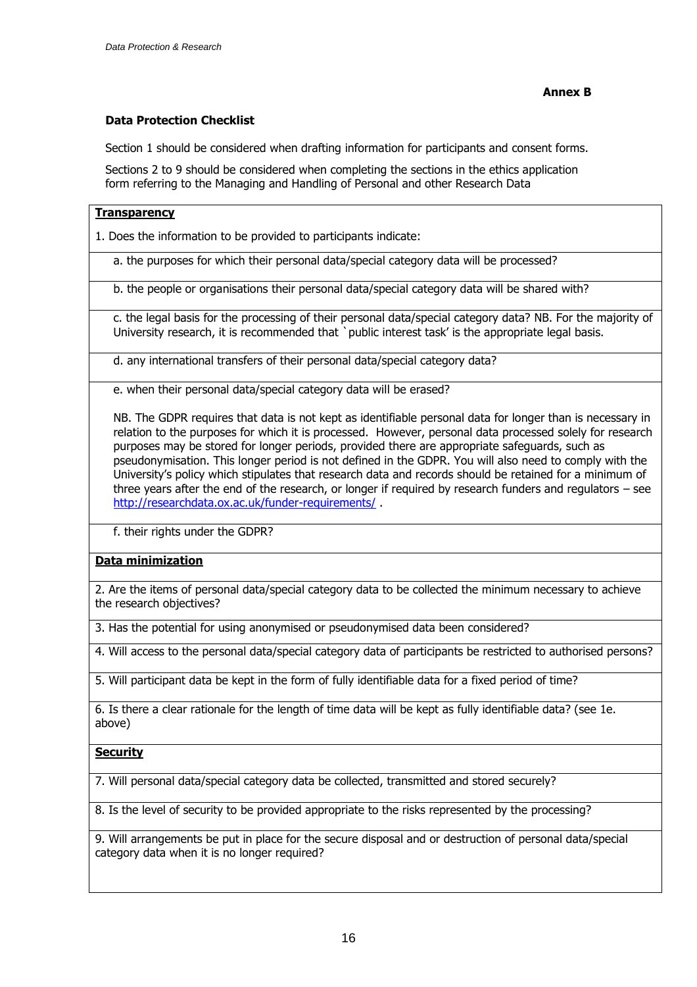# **Data Protection Checklist**

Section 1 should be considered when drafting information for participants and consent forms.

Sections 2 to 9 should be considered when completing the sections in the ethics application form referring to the Managing and Handling of Personal and other Research Data

### **Transparency**

1. Does the information to be provided to participants indicate:

a. the purposes for which their personal data/special category data will be processed?

b. the people or organisations their personal data/special category data will be shared with?

c. the legal basis for the processing of their personal data/special category data? NB. For the majority of University research, it is recommended that `public interest task' is the appropriate legal basis.

d. any international transfers of their personal data/special category data?

e. when their personal data/special category data will be erased?

NB. The GDPR requires that data is not kept as identifiable personal data for longer than is necessary in relation to the purposes for which it is processed. However, personal data processed solely for research purposes may be stored for longer periods, provided there are appropriate safeguards, such as pseudonymisation. This longer period is not defined in the GDPR. You will also need to comply with the University's policy which stipulates that research data and records should be retained for a minimum of three years after the end of the research, or longer if required by research funders and regulators – see <http://researchdata.ox.ac.uk/funder-requirements/> .

f. their rights under the GDPR?

### **Data minimization**

2. Are the items of personal data/special category data to be collected the minimum necessary to achieve the research objectives?

3. Has the potential for using anonymised or pseudonymised data been considered?

4. Will access to the personal data/special category data of participants be restricted to authorised persons?

5. Will participant data be kept in the form of fully identifiable data for a fixed period of time?

6. Is there a clear rationale for the length of time data will be kept as fully identifiable data? (see 1e. above)

### **Security**

7. Will personal data/special category data be collected, transmitted and stored securely?

8. Is the level of security to be provided appropriate to the risks represented by the processing?

9. Will arrangements be put in place for the secure disposal and or destruction of personal data/special category data when it is no longer required?